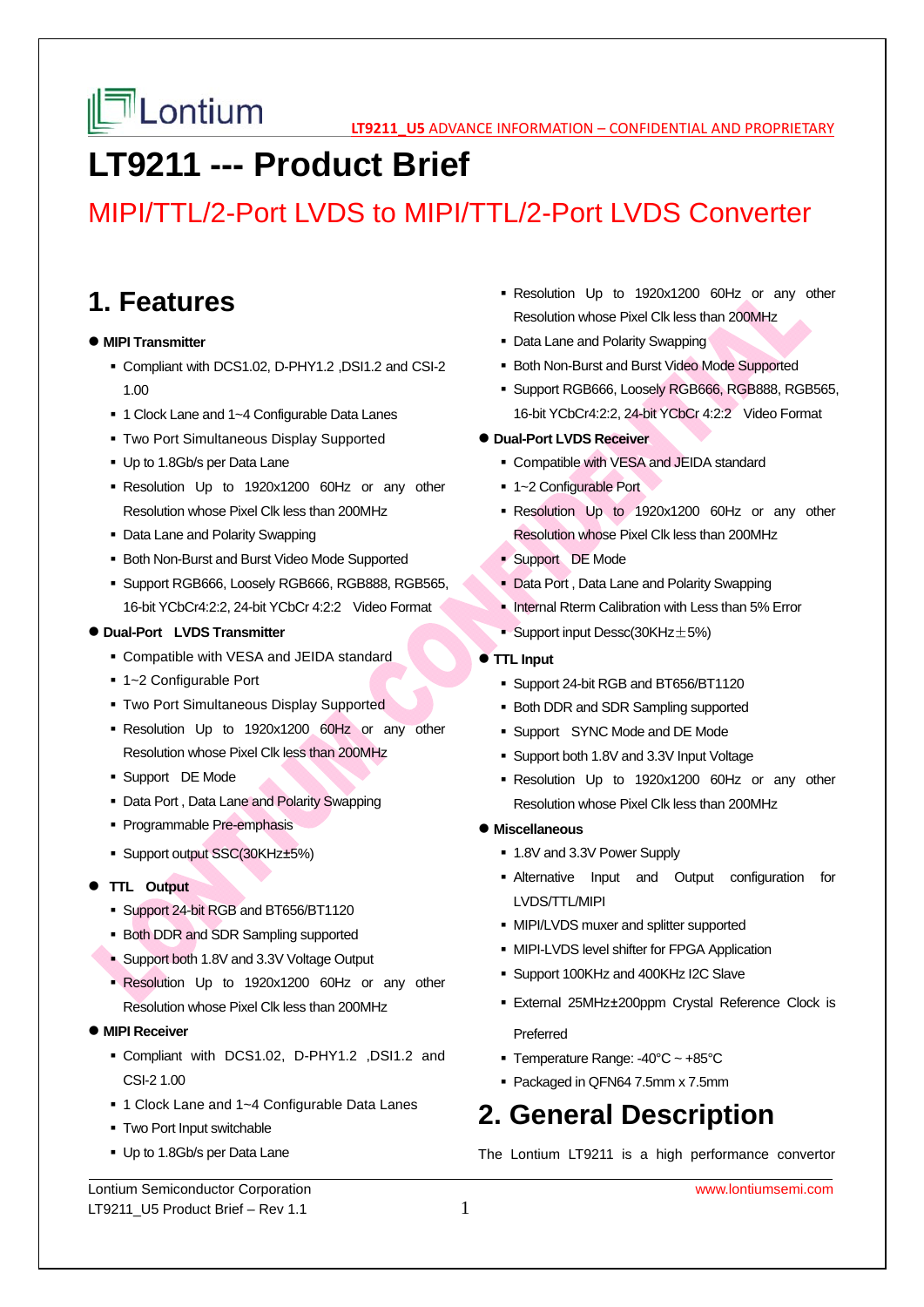# **LT9211 --- Product Brief**

## MIPI/TTL/2-Port LVDS to MIPI/TTL/2-Port LVDS Converter

### **1. Features**

#### $\bullet$  **MIPI Transmitter**

- Compliant with DCS1.02, D-PHY1.2 ,DSI1.2 and CSI-2 1.00
- 1 Clock Lane and 1~4 Configurable Data Lanes
- Two Port Simultaneous Display Supported
- Up to 1.8Gb/s per Data Lane
- Resolution Up to 1920x1200 60Hz or any other Resolution whose Pixel Clk less than 200MHz
- Data Lane and Polarity Swapping
- Both Non-Burst and Burst Video Mode Supported
- Support RGB666, Loosely RGB666, RGB888, RGB565, 16-bit YCbCr4:2:2, 24-bit YCbCr 4:2:2 Video Format

#### **Dual-Port LVDS Transmitter**

- Compatible with VESA and JEIDA standard
- 1~2 Configurable Port
- Two Port Simultaneous Display Supported
- Resolution Up to 1920x1200 60Hz or any other Resolution whose Pixel Clk less than 200MHz
- Support DE Mode
- Data Port , Data Lane and Polarity Swapping
- Programmable Pre-emphasis
- Support output SSC(30KHz±5%)
- **TTL Output** 
	- Support 24-bit RGB and BT656/BT1120
	- **Both DDR and SDR Sampling supported**
	- Support both 1.8V and 3.3V Voltage Output
	- Resolution Up to 1920x1200 60Hz or any other Resolution whose Pixel Clk less than 200MHz
- **MIPI Receiver**
	- Compliant with DCS1.02, D-PHY1.2 ,DSI1.2 and CSI-2 1.00
	- 1 Clock Lane and 1~4 Configurable Data Lanes
	- **Two Port Input switchable**
	- Up to 1.8Gb/s per Data Lane
- Resolution Up to 1920x1200 60Hz or any other Resolution whose Pixel Clk less than 200MHz
- Data Lane and Polarity Swapping
- **Both Non-Burst and Burst Video Mode Supported**
- Support RGB666, Loosely RGB666, RGB888, RGB565, 16-bit YCbCr4:2:2, 24-bit YCbCr 4:2:2 Video Format
- **Dual-Port LVDS Receiver** 
	- Compatible with VESA and JEIDA standard
	- 1~2 Configurable Port
	- Resolution Up to 1920x1200 60Hz or any other Resolution whose Pixel Clk less than 200MHz
	- Support DE Mode
	- **Data Port, Data Lane and Polarity Swapping**
	- Internal Rterm Calibration with Less than 5% Error
	- Support input Dessc(30KHz $\pm$ 5%)
- **TTL Input** 
	- Support 24-bit RGB and BT656/BT1120
	- Both DDR and SDR Sampling supported
	- **Support SYNC Mode and DE Mode**
	- Support both 1.8V and 3.3V Input Voltage
	- Resolution Up to 1920x1200 60Hz or any other Resolution whose Pixel Clk less than 200MHz
- **Miscellaneous** 
	- 1.8V and 3.3V Power Supply
	- Alternative Input and Output configuration for LVDS/TTL/MIPI
	- **MIPI/LVDS muxer and splitter supported**
	- **MIPI-LVDS level shifter for FPGA Application**
	- Support 100KHz and 400KHz I2C Slave
	- External 25MHz±200ppm Crystal Reference Clock is Preferred
	- Temperature Range: -40°C ~ +85°C
	- Packaged in QFN64 7.5mm x 7.5mm

## **2. General Description**

The Lontium LT9211 is a high performance convertor

Lontium Semiconductor Corporation www.lontiumsemi.com LT9211\_U5 Product Brief – Rev 1.1  $1$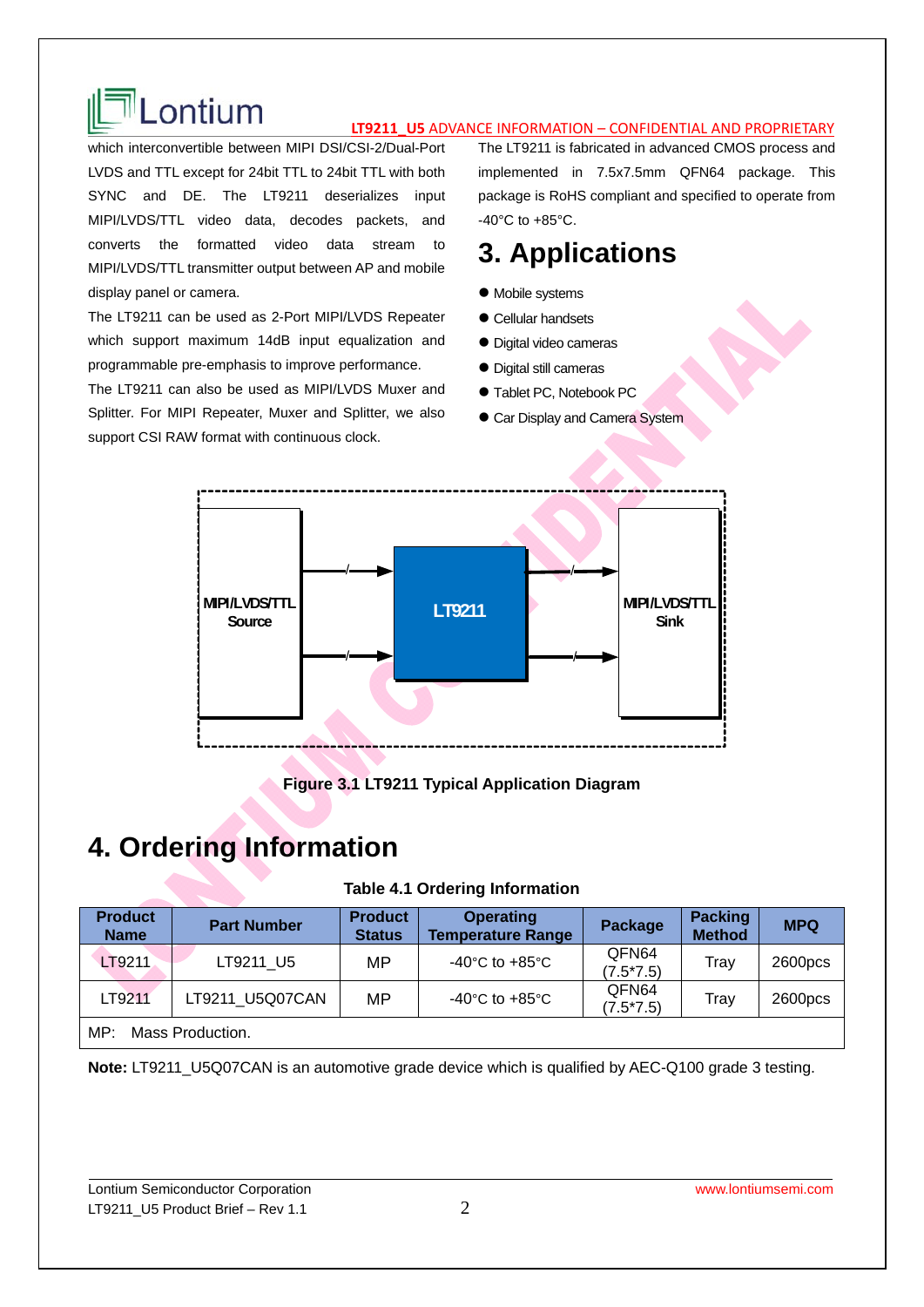

# **LONTIUM**

which interconvertible between MIPI DSI/CSI-2/Dual-Port LVDS and TTL except for 24bit TTL to 24bit TTL with both SYNC and DE. The LT9211 deserializes input MIPI/LVDS/TTL video data, decodes packets, and converts the formatted video data stream to MIPI/LVDS/TTL transmitter output between AP and mobile display panel or camera.

The LT9211 can be used as 2-Port MIPI/LVDS Repeater which support maximum 14dB input equalization and programmable pre-emphasis to improve performance.

The LT9211 can also be used as MIPI/LVDS Muxer and Splitter. For MIPI Repeater, Muxer and Splitter, we also support CSI RAW format with continuous clock.

The LT9211 is fabricated in advanced CMOS process and implemented in 7.5x7.5mm QFN64 package. This package is RoHS compliant and specified to operate from -40°C to +85°C.

## **3. Applications**

- $\bullet$  Mobile systems
- Cellular handsets
- Digital video cameras
- Digital still cameras
- Tablet PC, Notebook PC
- **Car Display and Camera System**



### **Figure 3.1 LT9211 Typical Application Diagram**

### **4. Ordering Information**

#### **Table 4.1 Ordering Information**

| <b>Product</b><br><b>Name</b> | <b>Part Number</b> | <b>Product</b><br><b>Status</b> | <b>Operating</b><br><b>Temperature Range</b> | Package              | <b>Packing</b><br><b>Method</b> | <b>MPQ</b>         |  |
|-------------------------------|--------------------|---------------------------------|----------------------------------------------|----------------------|---------------------------------|--------------------|--|
| LT9211                        | LT9211 U5          | МP                              | -40 $^{\circ}$ C to +85 $^{\circ}$ C         | QFN64<br>$(7.5*7.5)$ | Tray                            | 2600 <sub>pc</sub> |  |
| LT9211                        | LT9211 U5Q07CAN    | МP                              | $-40^{\circ}$ C to $+85^{\circ}$ C           | QFN64<br>$(7.5*7.5)$ | Trav                            | 2600 <sub>pc</sub> |  |
| Mass Production.<br>MP:       |                    |                                 |                                              |                      |                                 |                    |  |

**Note:** LT9211\_U5Q07CAN is an automotive grade device which is qualified by AEC-Q100 grade 3 testing.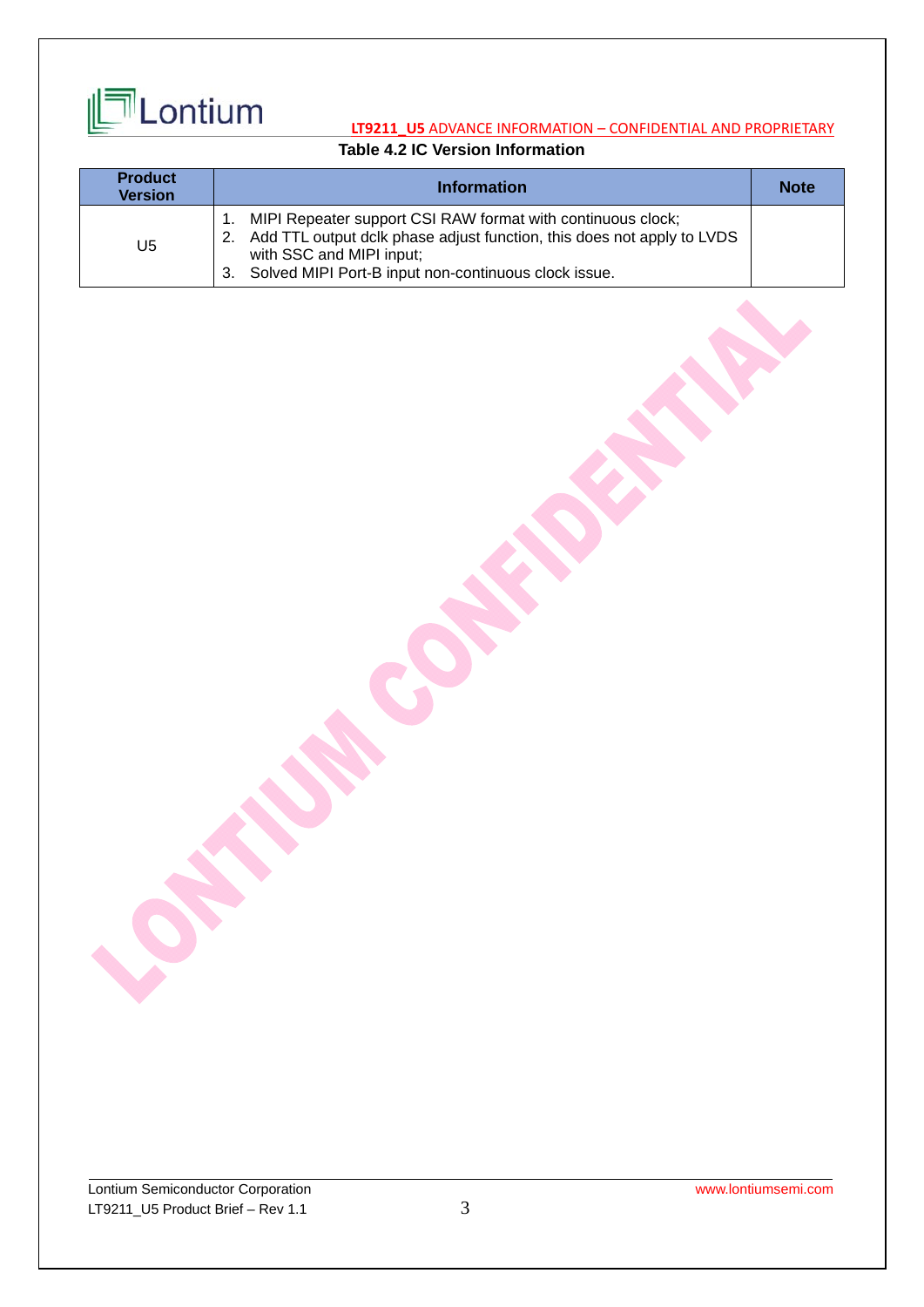

### **Table 4.2 IC Version Information**

| <b>Product</b><br><b>Version</b> | <b>Information</b>                                                                                                                                                                                                                    | <b>Note</b> |
|----------------------------------|---------------------------------------------------------------------------------------------------------------------------------------------------------------------------------------------------------------------------------------|-------------|
| U <sub>5</sub>                   | MIPI Repeater support CSI RAW format with continuous clock;<br>Add TTL output dclk phase adjust function, this does not apply to LVDS<br>2.<br>with SSC and MIPI input;<br>Solved MIPI Port-B input non-continuous clock issue.<br>3. |             |